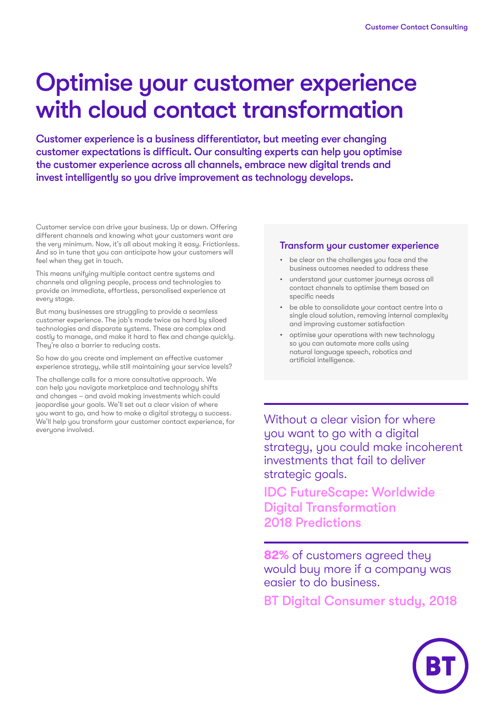# Optimise your customer experience with cloud contact transformation

Customer experience is a business differentiator, but meeting ever changing customer expectations is difficult. Our consulting experts can help you optimise the customer experience across all channels, embrace new digital trends and invest intelligently so you drive improvement as technology develops.

Customer service can drive your business. Up or down. Offering different channels and knowing what your customers want are the very minimum. Now, it's all about making it easy. Frictionless. And so in tune that you can anticipate how your customers will feel when they get in touch.

This means unifying multiple contact centre systems and channels and aligning people, process and technologies to provide an immediate, effortless, personalised experience at every stage.

But many businesses are struggling to provide a seamless customer experience. The job's made twice as hard by siloed technologies and disparate systems. These are complex and costly to manage, and make it hard to flex and change quickly. They're also a barrier to reducing costs.

So how do you create and implement an effective customer experience strategy, while still maintaining your service levels?

The challenge calls for a more consultative approach. We can help you navigate marketplace and technology shifts and changes – and avoid making investments which could jeopardise your goals. We'll set out a clear vision of where you want to go, and how to make a digital strategy a success. We'll help you transform your customer contact experience, for everyone involved.

#### Transform your customer experience

- be clear on the challenges you face and the business outcomes needed to address these
- understand your customer journeys across all contact channels to optimise them based on specific needs
- be able to consolidate your contact centre into a single cloud solution, removing internal complexity and improving customer satisfaction
- optimise your operations with new technology so you can automate more calls using natural language speech, robotics and artificial intelligence.

Without a clear vision for where you want to go with a digital strategy, you could make incoherent investments that fail to deliver strategic goals.

IDC FutureScape: Worldwide Digital Transformation 2018 Predictions

**82%** of customers agreed they would buy more if a company was easier to do business.

BT Digital Consumer study, 2018